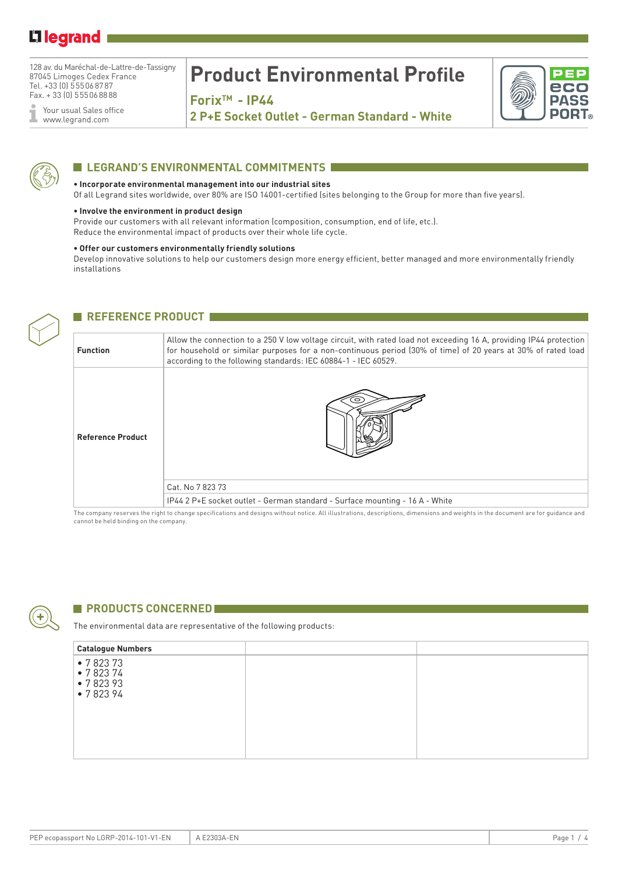## Li legrand

128 av. du Maréchal-de-Lattre-de-Tassigny 87045 Limoges Cedex France Tel. +33 (0) 555068787 Fax. + 33 (0) 555068888

Your usual Sales office Ĩ www.legrand.com

# **Product Environmental Profile**

**ForixTM - IP44**

**2 P+E Socket Outlet - German Standard - White**





#### **LEGRAND'S ENVIRONMENTAL COMMITMENTS**

#### **• Incorporate environmental management into our industrial sites**

Of all Legrand sites worldwide, over 80% are ISO 14001-certified (sites belonging to the Group for more than five years).

#### **• Involve the environment in product design**

Provide our customers with all relevant information (composition, consumption, end of life, etc.). Reduce the environmental impact of products over their whole life cycle.

#### **• Offer our customers environmentally friendly solutions**

Develop innovative solutions to help our customers design more energy efficient, better managed and more environmentally friendly installations



### **REFERENCE PRODUCT EXAMPLE**

| <b>Function</b>          | Allow the connection to a 250 V low voltage circuit, with rated load not exceeding 16 A, providing IP44 protection<br>for household or similar purposes for a non-continuous period (30% of time) of 20 years at 30% of rated load<br>according to the following standards: IEC 60884-1 - IEC 60529. |  |  |  |  |
|--------------------------|------------------------------------------------------------------------------------------------------------------------------------------------------------------------------------------------------------------------------------------------------------------------------------------------------|--|--|--|--|
| <b>Reference Product</b> |                                                                                                                                                                                                                                                                                                      |  |  |  |  |
|                          | Cat. No 7 823 73                                                                                                                                                                                                                                                                                     |  |  |  |  |
|                          | IP44 2 P+E socket outlet - German standard - Surface mounting - 16 A - White                                                                                                                                                                                                                         |  |  |  |  |

The company reserves the right to change specifications and designs without notice. All illustrations, descriptions, dimensions and weights in the document are for guidance and cannot be held binding on the company.



#### **PRODUCTS CONCERNED**

The environmental data are representative of the following products:

| <b>Catalogue Numbers</b>                 |  |
|------------------------------------------|--|
| •782373<br>•782374<br>•782393<br>•782394 |  |
|                                          |  |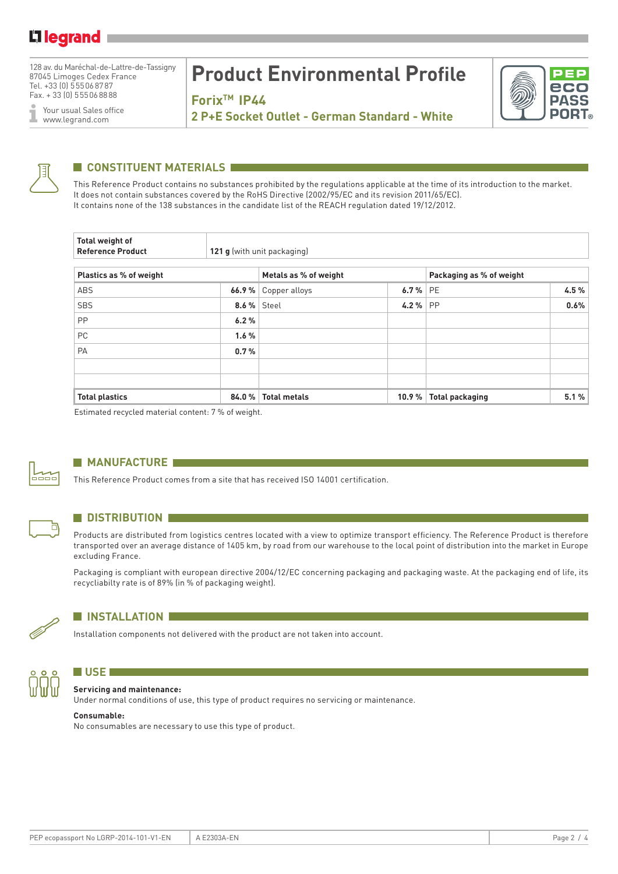128 av. du Maréchal-de-Lattre-de-Tassigny 87045 Limoges Cedex France Tel. +33 (0) 555068787 Fax. + 33 (0) 555068888

Your usual Sales office I www.legrand.com

# **Product Environmental Profile**

**ForixTM IP44**



**2 P+E Socket Outlet - German Standard - White**



### **CONSTITUENT MATERIALS**

This Reference Product contains no substances prohibited by the regulations applicable at the time of its introduction to the market. It does not contain substances covered by the RoHS Directive (2002/95/EC and its revision 2011/65/EC). It contains none of the 138 substances in the candidate list of the REACH regulation dated 19/12/2012.

| Total weight of<br><b>Reference Product</b> | 121 g (with unit packaging) |                       |       |                          |      |  |  |  |
|---------------------------------------------|-----------------------------|-----------------------|-------|--------------------------|------|--|--|--|
| Plastics as % of weight                     |                             | Metals as % of weight |       | Packaging as % of weight |      |  |  |  |
| ABS                                         | 66.9%                       | Copper alloys         | 6.7%  | <b>PE</b>                | 4.5% |  |  |  |
| <b>SBS</b>                                  |                             | <b>8.6 %   Steel</b>  | 4.2%  | <b>PP</b>                | 0.6% |  |  |  |
| PP                                          | 6.2%                        |                       |       |                          |      |  |  |  |
| PC                                          | 1.6%                        |                       |       |                          |      |  |  |  |
| PA                                          | 0.7%                        |                       |       |                          |      |  |  |  |
|                                             |                             |                       |       |                          |      |  |  |  |
|                                             |                             |                       |       |                          |      |  |  |  |
| <b>Total plastics</b>                       | 84.0%                       | <b>Total metals</b>   | 10.9% | <b>Total packaging</b>   | 5.1% |  |  |  |

Estimated recycled material content: 7 % of weight.



Б

#### **MANUFACTURE**

This Reference Product comes from a site that has received ISO 14001 certification.

#### **N** DISTRIBUTION

Products are distributed from logistics centres located with a view to optimize transport efficiency. The Reference Product is therefore transported over an average distance of 1405 km, by road from our warehouse to the local point of distribution into the market in Europe excluding France.

Packaging is compliant with european directive 2004/12/EC concerning packaging and packaging waste. At the packaging end of life, its recycliabilty rate is of 89% (in % of packaging weight).



#### **N** INSTALLATION

Installation components not delivered with the product are not taken into account.



#### **N** USE *DETERMINE* **Servicing and maintenance:**

Under normal conditions of use, this type of product requires no servicing or maintenance.

#### **Consumable:**

No consumables are necessary to use this type of product.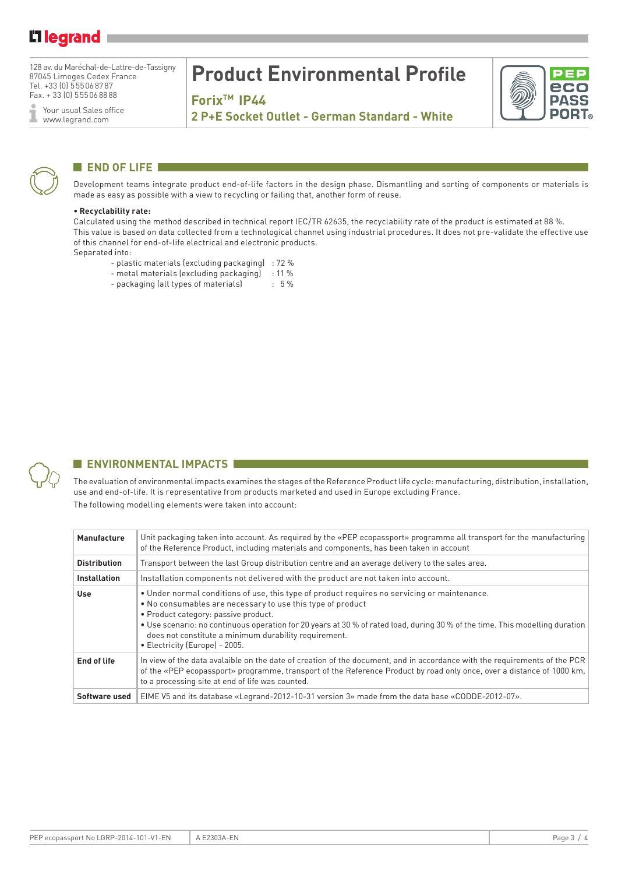## **Lilegrand**

128 av. du Maréchal-de-Lattre-de-Tassigny 87045 Limoges Cedex France Tel. +33 (0) 555068787 Fax. + 33 (0) 555068888

Your usual Sales office Ĩ www.legrand.com

## **Product Environmental Profile**

**ForixTM IP44**



**2 P+E Socket Outlet - German Standard - White**



### **END OF LIFE**

Development teams integrate product end-of-life factors in the design phase. Dismantling and sorting of components or materials is made as easy as possible with a view to recycling or failing that, another form of reuse.

#### **• Recyclability rate:**

Calculated using the method described in technical report IEC/TR 62635, the recyclability rate of the product is estimated at 88 %. This value is based on data collected from a technological channel using industrial procedures. It does not pre-validate the effective use of this channel for end-of-life electrical and electronic products. Separated into:

- plastic materials (excluding packaging) : 72 %
- metal materials (excluding packaging) : 11 %
- packaging (all types of materials) : 5 %



### **ENVIRONMENTAL IMPACTS**

The evaluation of environmental impacts examines the stages of the Reference Product life cycle: manufacturing, distribution, installation, use and end-of-life. It is representative from products marketed and used in Europe excluding France. The following modelling elements were taken into account:

| Manufacture         | Unit packaging taken into account. As required by the «PEP ecopassport» programme all transport for the manufacturing<br>of the Reference Product, including materials and components, has been taken in account                                                                                                                                                                                                              |
|---------------------|-------------------------------------------------------------------------------------------------------------------------------------------------------------------------------------------------------------------------------------------------------------------------------------------------------------------------------------------------------------------------------------------------------------------------------|
| <b>Distribution</b> | Transport between the last Group distribution centre and an average delivery to the sales area.                                                                                                                                                                                                                                                                                                                               |
| <b>Installation</b> | Installation components not delivered with the product are not taken into account.                                                                                                                                                                                                                                                                                                                                            |
| Use                 | • Under normal conditions of use, this type of product requires no servicing or maintenance.<br>• No consumables are necessary to use this type of product<br>• Product category: passive product.<br>• Use scenario: no continuous operation for 20 years at 30 % of rated load, during 30 % of the time. This modelling duration<br>does not constitute a minimum durability requirement.<br>• Electricity (Europe) - 2005. |
| End of life         | In view of the data avalaible on the date of creation of the document, and in accordance with the requirements of the PCR<br>of the «PEP ecopassport» programme, transport of the Reference Product by road only once, over a distance of 1000 km,<br>to a processing site at end of life was counted.                                                                                                                        |
| Software used       | EIME V5 and its database «Legrand-2012-10-31 version 3» made from the data base «CODDE-2012-07».                                                                                                                                                                                                                                                                                                                              |